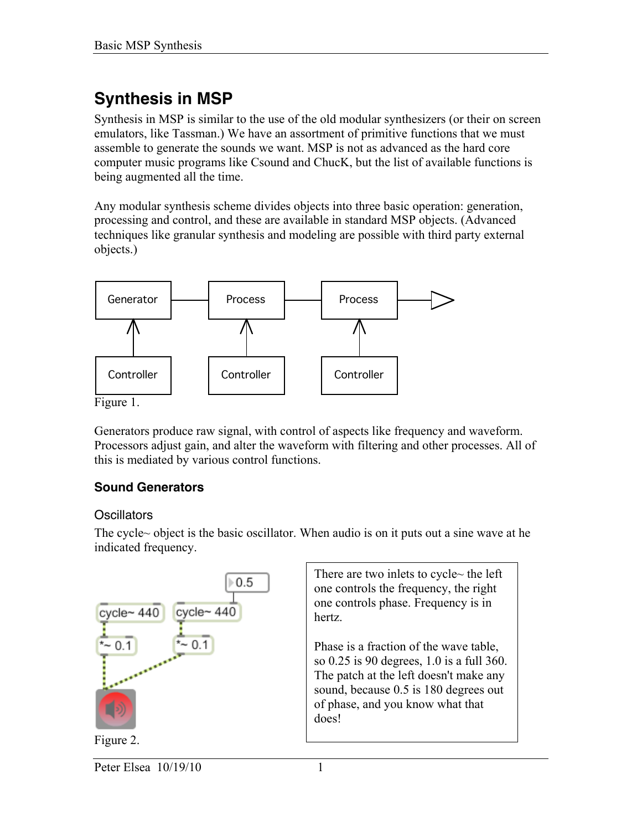# **Synthesis in MSP**

Synthesis in MSP is similar to the use of the old modular synthesizers (or their on screen emulators, like Tassman.) We have an assortment of primitive functions that we must assemble to generate the sounds we want. MSP is not as advanced as the hard core computer music programs like Csound and ChucK, but the list of available functions is being augmented all the time.

Any modular synthesis scheme divides objects into three basic operation: generation, processing and control, and these are available in standard MSP objects. (Advanced techniques like granular synthesis and modeling are possible with third party external objects.)



Figure 1.

Generators produce raw signal, with control of aspects like frequency and waveform. Processors adjust gain, and alter the waveform with filtering and other processes. All of this is mediated by various control functions.

# **Sound Generators**

# **Oscillators**

The cycle~ object is the basic oscillator. When audio is on it puts out a sine wave at he indicated frequency.

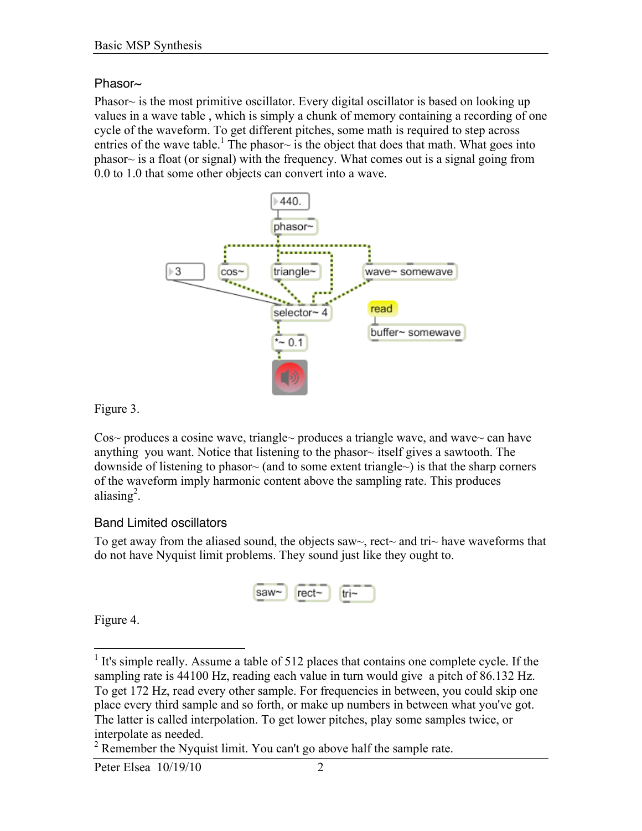#### Phasor~

Phasor $\sim$  is the most primitive oscillator. Every digital oscillator is based on looking up values in a wave table , which is simply a chunk of memory containing a recording of one cycle of the waveform. To get different pitches, some math is required to step across entries of the wave table.<sup>1</sup> The phasor~ is the object that does that math. What goes into phasor~ is a float (or signal) with the frequency. What comes out is a signal going from 0.0 to 1.0 that some other objects can convert into a wave.



Figure 3.

Cos~ produces a cosine wave, triangle~ produces a triangle wave, and wave~ can have anything you want. Notice that listening to the phasor $\sim$  itself gives a sawtooth. The downside of listening to phasor~ (and to some extent triangle~) is that the sharp corners of the waveform imply harmonic content above the sampling rate. This produces aliasing<sup>2</sup>.

### Band Limited oscillators

To get away from the aliased sound, the objects saw $\sim$ , rect $\sim$  and tri $\sim$  have waveforms that do not have Nyquist limit problems. They sound just like they ought to.



Figure 4.

<sup>&</sup>lt;sup>1</sup> It's simple really. Assume a table of 512 places that contains one complete cycle. If the sampling rate is 44100 Hz, reading each value in turn would give a pitch of 86.132 Hz. To get 172 Hz, read every other sample. For frequencies in between, you could skip one place every third sample and so forth, or make up numbers in between what you've got. The latter is called interpolation. To get lower pitches, play some samples twice, or interpolate as needed.

 $2^2$  Remember the Nyquist limit. You can't go above half the sample rate.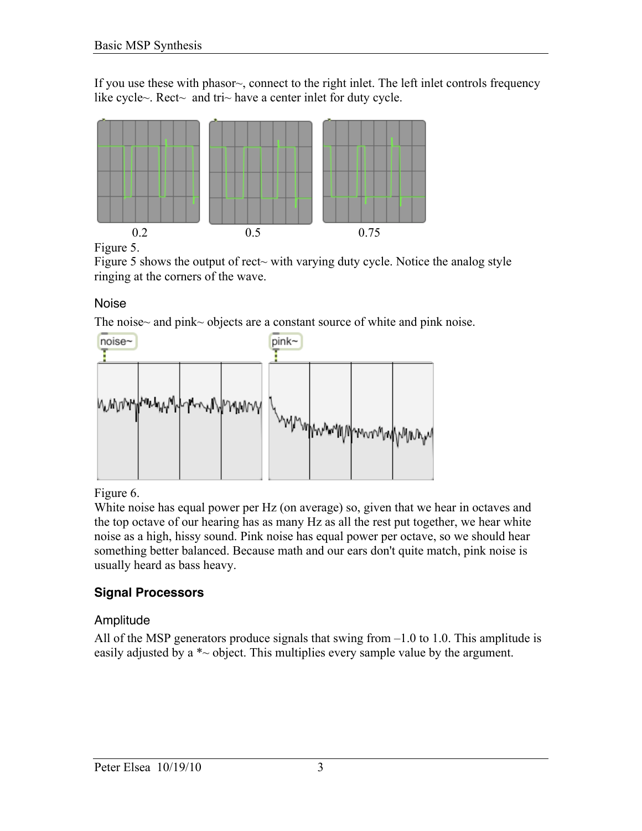If you use these with phasor~, connect to the right inlet. The left inlet controls frequency like cycle~. Rect~ and tri~ have a center inlet for duty cycle.



Figure 5.

Figure 5 shows the output of rect~ with varying duty cycle. Notice the analog style ringing at the corners of the wave.

Noise

The noise~ and pink~ objects are a constant source of white and pink noise.



Figure 6.

White noise has equal power per Hz (on average) so, given that we hear in octaves and the top octave of our hearing has as many Hz as all the rest put together, we hear white noise as a high, hissy sound. Pink noise has equal power per octave, so we should hear something better balanced. Because math and our ears don't quite match, pink noise is usually heard as bass heavy.

# **Signal Processors**

# Amplitude

All of the MSP generators produce signals that swing from  $-1.0$  to 1.0. This amplitude is easily adjusted by a  $\ast \sim$  object. This multiplies every sample value by the argument.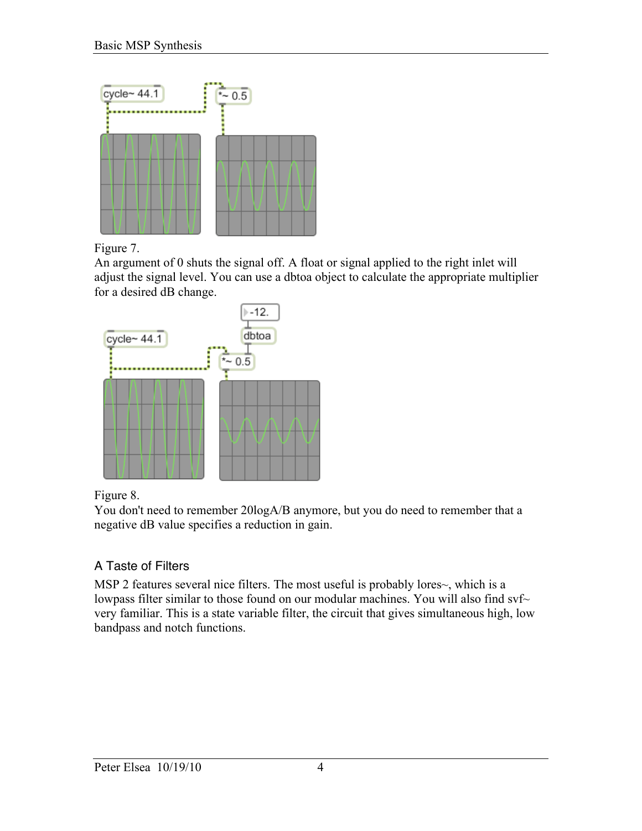

Figure 7.

An argument of 0 shuts the signal off. A float or signal applied to the right inlet will adjust the signal level. You can use a dbtoa object to calculate the appropriate multiplier for a desired dB change.



Figure 8.

You don't need to remember 20logA/B anymore, but you do need to remember that a negative dB value specifies a reduction in gain.

# A Taste of Filters

MSP 2 features several nice filters. The most useful is probably lores~, which is a lowpass filter similar to those found on our modular machines. You will also find svf~ very familiar. This is a state variable filter, the circuit that gives simultaneous high, low bandpass and notch functions.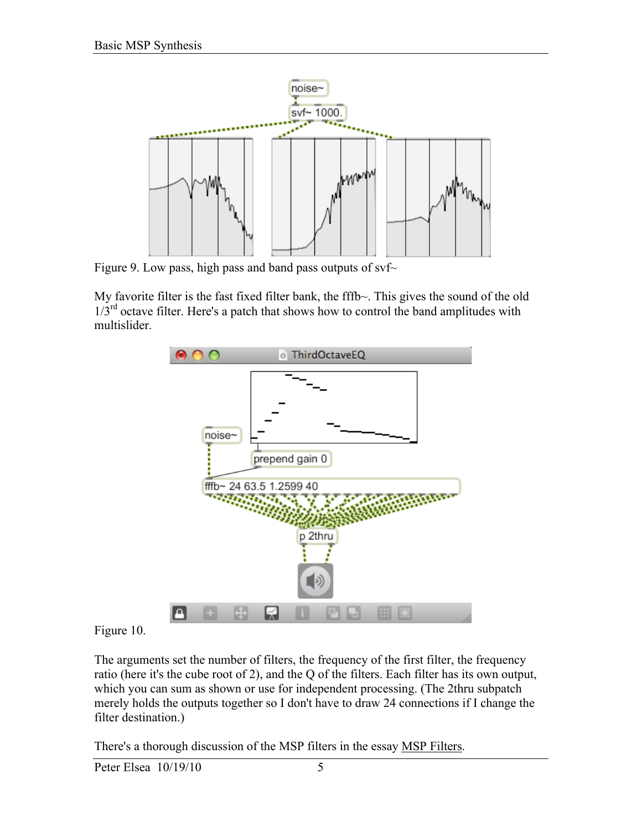

Figure 9. Low pass, high pass and band pass outputs of  $svf$ 

My favorite filter is the fast fixed filter bank, the fffb~. This gives the sound of the old  $1/3<sup>rd</sup>$  octave filter. Here's a patch that shows how to control the band amplitudes with multislider.



### Figure 10.

The arguments set the number of filters, the frequency of the first filter, the frequency ratio (here it's the cube root of 2), and the Q of the filters. Each filter has its own output, which you can sum as shown or use for independent processing. (The 2thru subpatch merely holds the outputs together so I don't have to draw 24 connections if I change the filter destination.)

There's a thorough discussion of the MSP filters in the essay MSP Filters.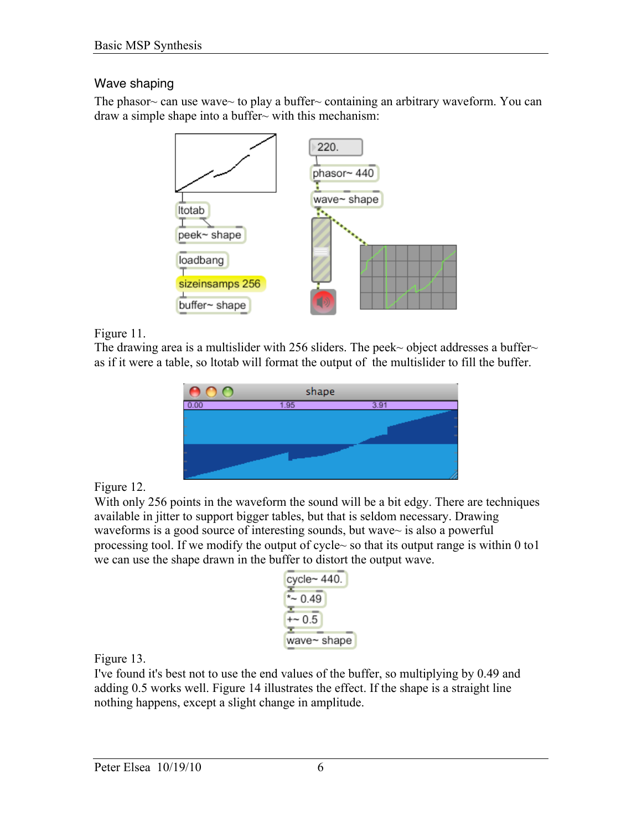# Wave shaping

The phasor $\sim$  can use wave $\sim$  to play a buffer $\sim$  containing an arbitrary waveform. You can draw a simple shape into a buffer~ with this mechanism:



Figure 11.

The drawing area is a multislider with 256 sliders. The peek~ object addresses a buffer~ as if it were a table, so ltotab will format the output of the multislider to fill the buffer.



Figure 12.

With only 256 points in the waveform the sound will be a bit edgy. There are techniques available in jitter to support bigger tables, but that is seldom necessary. Drawing waveforms is a good source of interesting sounds, but wave~ is also a powerful processing tool. If we modify the output of cycle~ so that its output range is within 0 to1 we can use the shape drawn in the buffer to distort the output wave.

| cycle~ 440. |
|-------------|
| *~ 0.49     |
| +~ 0.5      |
| wave~ shape |

Figure 13.

I've found it's best not to use the end values of the buffer, so multiplying by 0.49 and adding 0.5 works well. Figure 14 illustrates the effect. If the shape is a straight line nothing happens, except a slight change in amplitude.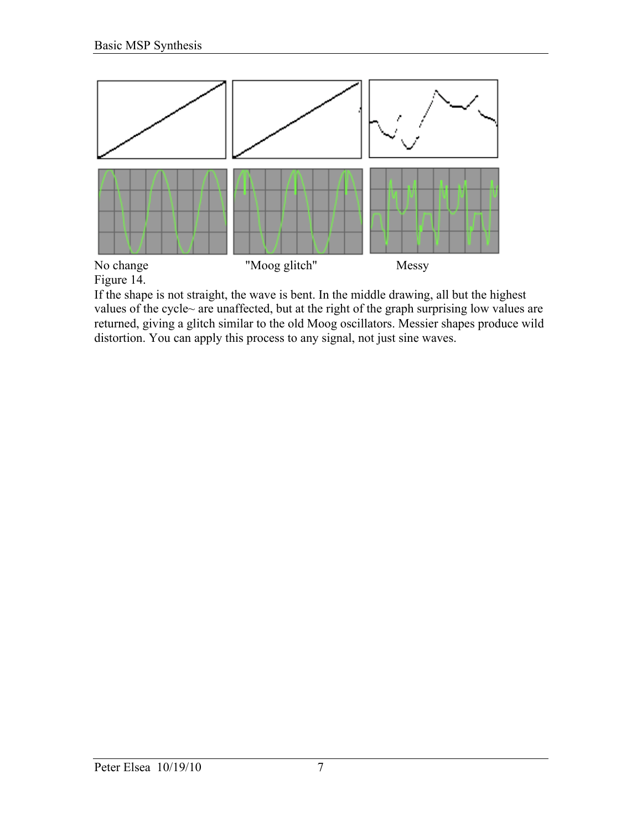

Figure 14.

If the shape is not straight, the wave is bent. In the middle drawing, all but the highest values of the cycle~ are unaffected, but at the right of the graph surprising low values are returned, giving a glitch similar to the old Moog oscillators. Messier shapes produce wild distortion. You can apply this process to any signal, not just sine waves.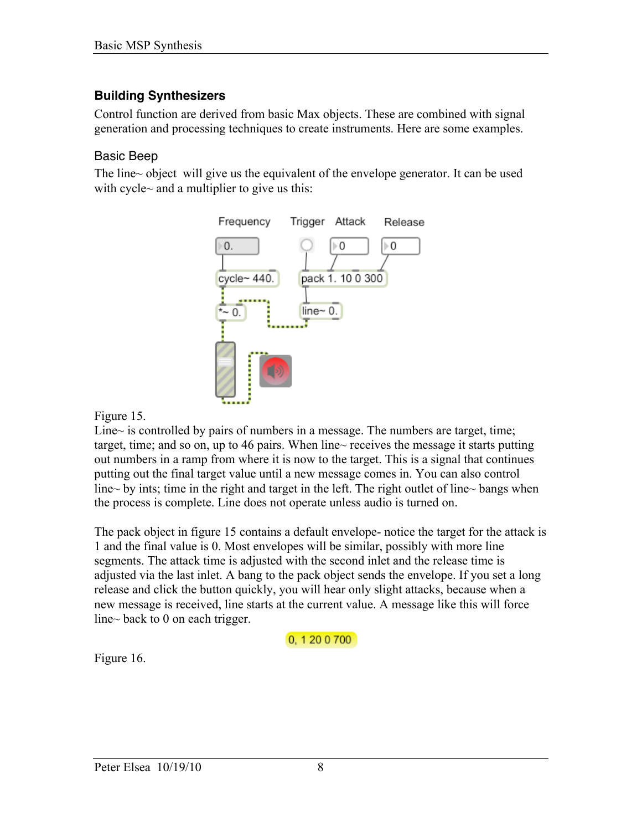# **Building Synthesizers**

Control function are derived from basic Max objects. These are combined with signal generation and processing techniques to create instruments. Here are some examples.

### Basic Beep

The line~ object will give us the equivalent of the envelope generator. It can be used with cycle~ and a multiplier to give us this:



#### Figure 15.

Line $\sim$  is controlled by pairs of numbers in a message. The numbers are target, time; target, time; and so on, up to 46 pairs. When line~ receives the message it starts putting out numbers in a ramp from where it is now to the target. This is a signal that continues putting out the final target value until a new message comes in. You can also control line~ by ints; time in the right and target in the left. The right outlet of line~ bangs when the process is complete. Line does not operate unless audio is turned on.

The pack object in figure 15 contains a default envelope- notice the target for the attack is 1 and the final value is 0. Most envelopes will be similar, possibly with more line segments. The attack time is adjusted with the second inlet and the release time is adjusted via the last inlet. A bang to the pack object sends the envelope. If you set a long release and click the button quickly, you will hear only slight attacks, because when a new message is received, line starts at the current value. A message like this will force line~ back to 0 on each trigger.

0, 1 20 0 700

Figure 16.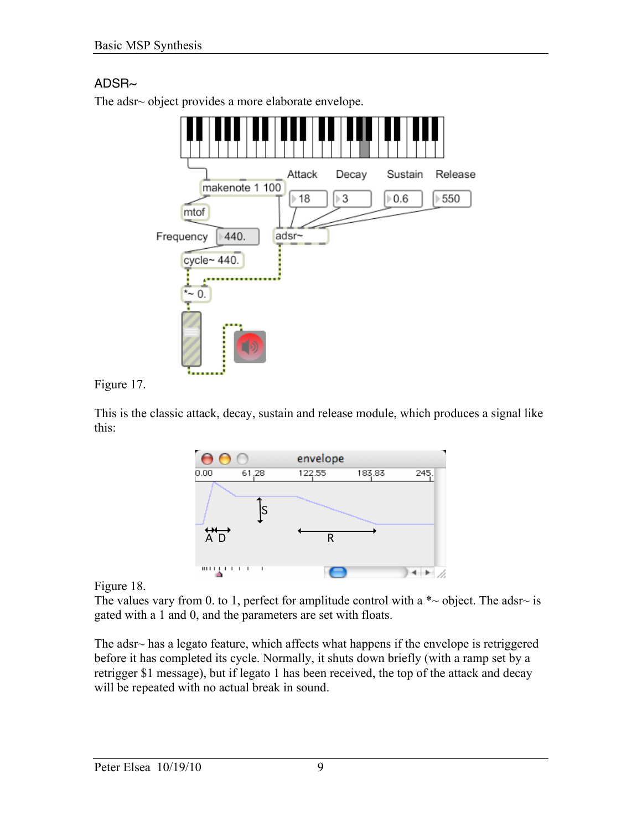# $ADSB~$

The adsr~ object provides a more elaborate envelope.



Figure 17.

This is the classic attack, decay, sustain and release module, which produces a signal like this:



Figure 18.

The values vary from 0. to 1, perfect for amplitude control with a  $\ast \sim$  object. The adsr $\sim$  is gated with a 1 and 0, and the parameters are set with floats.

The adsr~ has a legato feature, which affects what happens if the envelope is retriggered before it has completed its cycle. Normally, it shuts down briefly (with a ramp set by a retrigger \$1 message), but if legato 1 has been received, the top of the attack and decay will be repeated with no actual break in sound.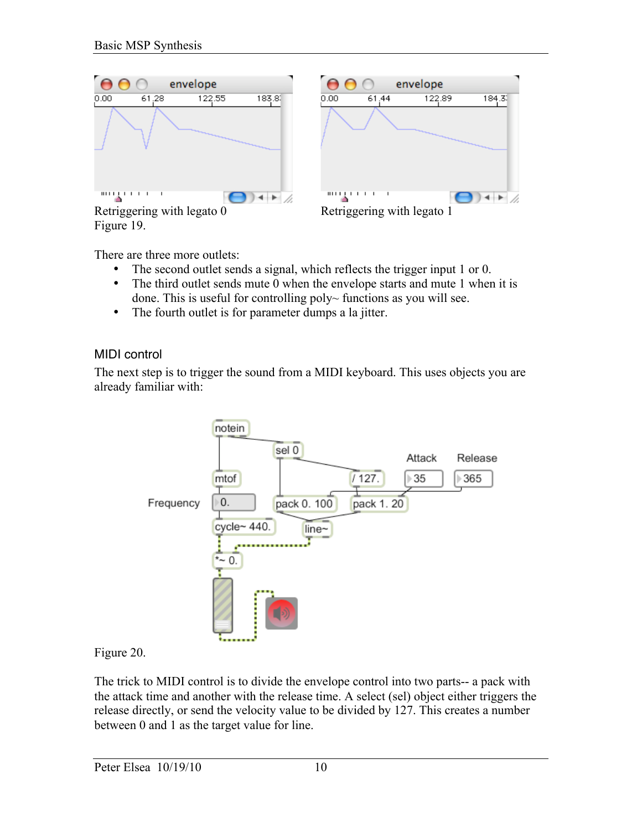

There are three more outlets:

- The second outlet sends a signal, which reflects the trigger input 1 or 0.
- The third outlet sends mute 0 when the envelope starts and mute 1 when it is done. This is useful for controlling poly~ functions as you will see.
- The fourth outlet is for parameter dumps a la jitter.

### MIDI control

The next step is to trigger the sound from a MIDI keyboard. This uses objects you are already familiar with:



### Figure 20.

The trick to MIDI control is to divide the envelope control into two parts-- a pack with the attack time and another with the release time. A select (sel) object either triggers the release directly, or send the velocity value to be divided by 127. This creates a number between 0 and 1 as the target value for line.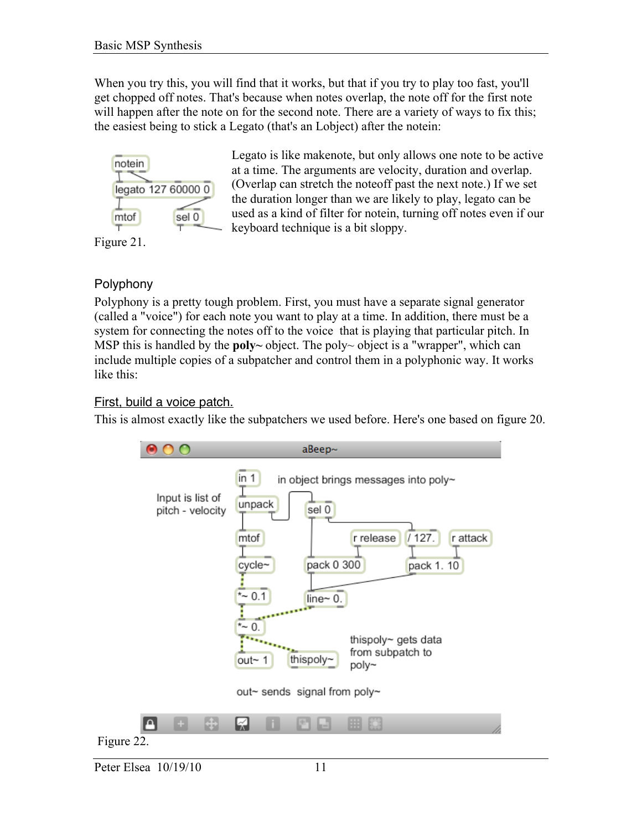When you try this, you will find that it works, but that if you try to play too fast, you'll get chopped off notes. That's because when notes overlap, the note off for the first note will happen after the note on for the second note. There are a variety of ways to fix this; the easiest being to stick a Legato (that's an Lobject) after the notein:



Legato is like makenote, but only allows one note to be active at a time. The arguments are velocity, duration and overlap. (Overlap can stretch the noteoff past the next note.) If we set the duration longer than we are likely to play, legato can be used as a kind of filter for notein, turning off notes even if our keyboard technique is a bit sloppy.

**Polyphony** 

Polyphony is a pretty tough problem. First, you must have a separate signal generator (called a "voice") for each note you want to play at a time. In addition, there must be a system for connecting the notes off to the voice that is playing that particular pitch. In MSP this is handled by the **poly** $\sim$  object. The poly $\sim$  object is a "wrapper", which can include multiple copies of a subpatcher and control them in a polyphonic way. It works like this:

### First, build a voice patch.

This is almost exactly like the subpatchers we used before. Here's one based on figure 20.

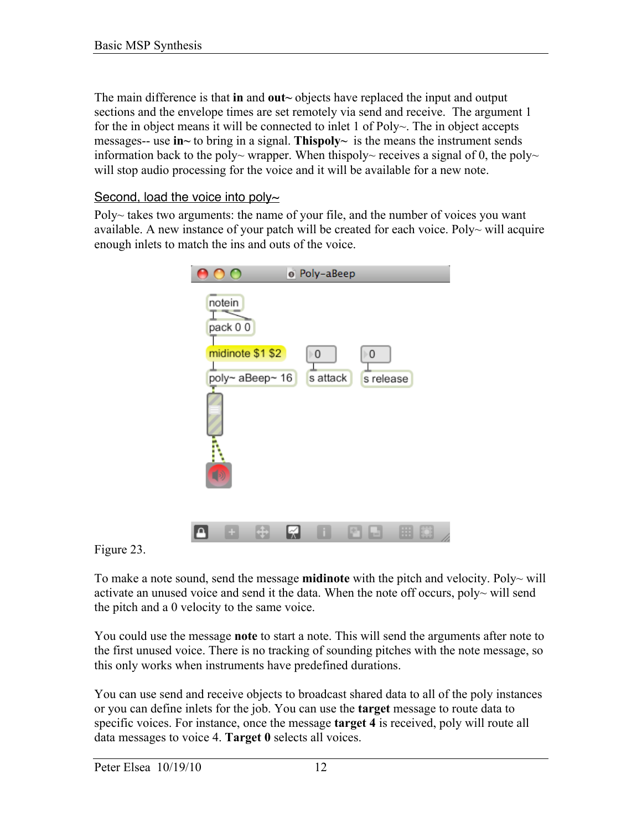The main difference is that in and out $\sim$  objects have replaced the input and output sections and the envelope times are set remotely via send and receive. The argument 1 for the in object means it will be connected to inlet 1 of Poly~. The in object accepts messages-- use in~ to bring in a signal. Thispoly~ is the means the instrument sends information back to the poly~ wrapper. When thispoly~ receives a signal of 0, the poly~ will stop audio processing for the voice and it will be available for a new note.

#### Second, load the voice into poly $\sim$

Poly~ takes two arguments: the name of your file, and the number of voices you want available. A new instance of your patch will be created for each voice. Poly $\sim$  will acquire enough inlets to match the ins and outs of the voice.



Figure 23.

To make a note sound, send the message **midinote** with the pitch and velocity. Poly~ will activate an unused voice and send it the data. When the note off occurs, poly $\sim$  will send the pitch and a 0 velocity to the same voice.

You could use the message note to start a note. This will send the arguments after note to the first unused voice. There is no tracking of sounding pitches with the note message, so this only works when instruments have predefined durations.

You can use send and receive objects to broadcast shared data to all of the poly instances or you can define inlets for the job. You can use the target message to route data to specific voices. For instance, once the message **target 4** is received, poly will route all data messages to voice 4. Target 0 selects all voices.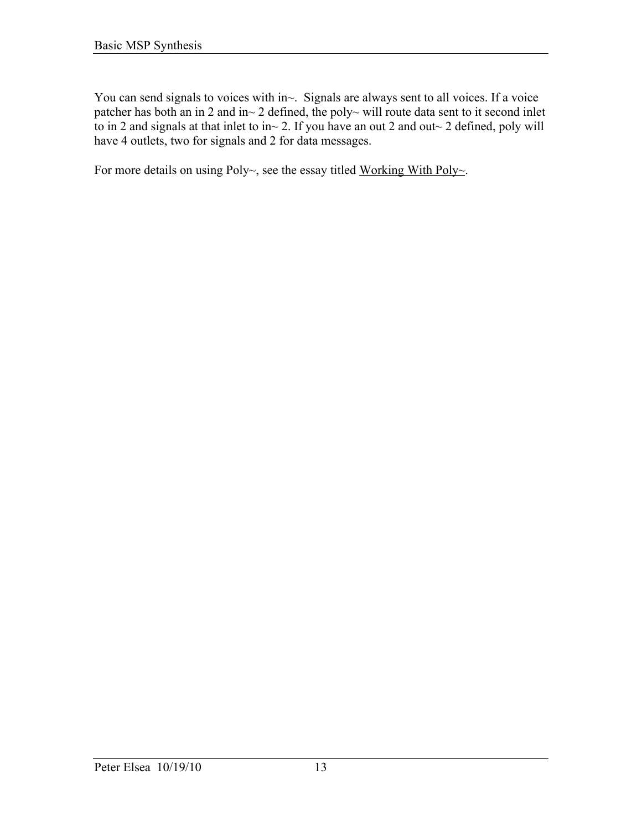You can send signals to voices with in~. Signals are always sent to all voices. If a voice patcher has both an in 2 and in~ 2 defined, the poly~ will route data sent to it second inlet to in 2 and signals at that inlet to in~ 2. If you have an out 2 and out~ 2 defined, poly will have 4 outlets, two for signals and 2 for data messages.

For more details on using Poly~, see the essay titled Working With Poly~.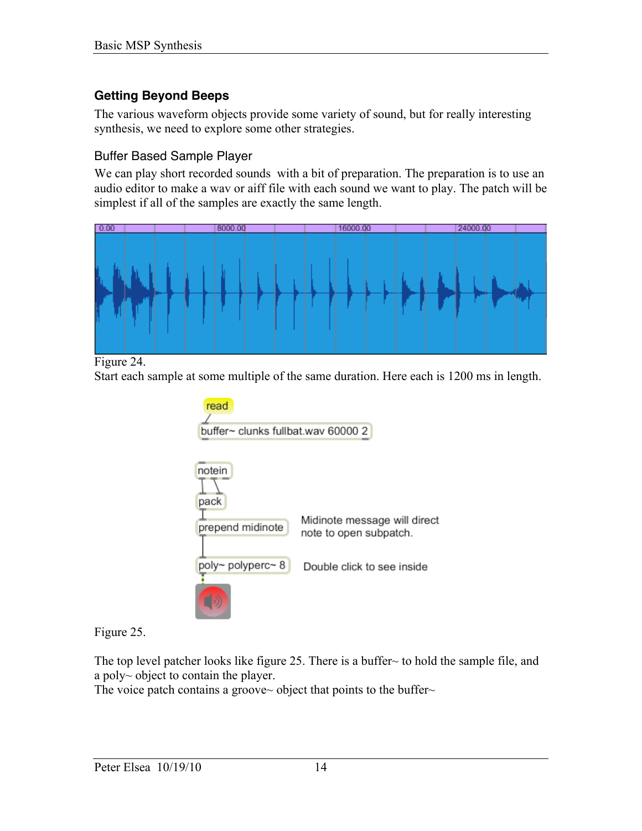# **Getting Beyond Beeps**

The various waveform objects provide some variety of sound, but for really interesting synthesis, we need to explore some other strategies.

### Buffer Based Sample Player

We can play short recorded sounds with a bit of preparation. The preparation is to use an audio editor to make a wav or aiff file with each sound we want to play. The patch will be simplest if all of the samples are exactly the same length.



Figure 24.

Start each sample at some multiple of the same duration. Here each is 1200 ms in length.



Figure 25.

The top level patcher looks like figure 25. There is a buffer~ to hold the sample file, and a poly~ object to contain the player.

The voice patch contains a groove~ object that points to the buffer~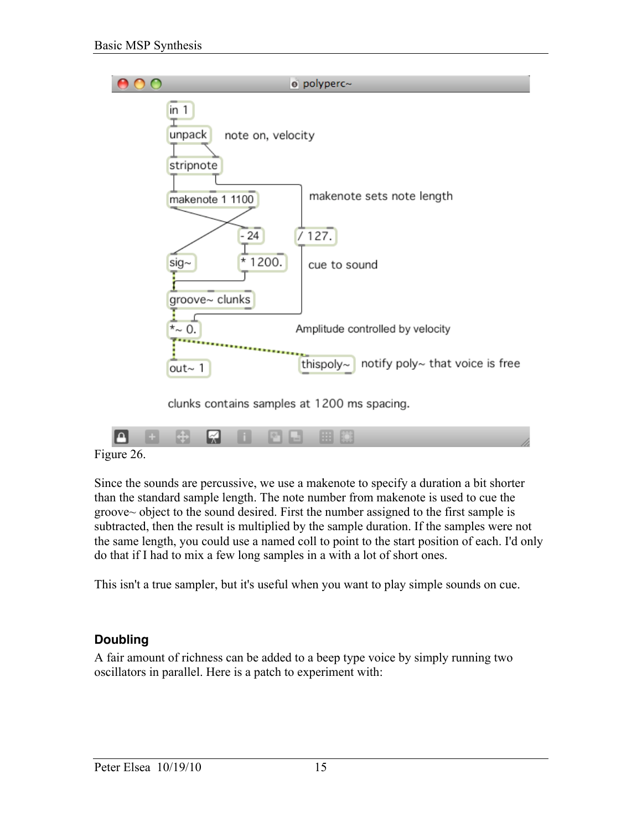

clunks contains samples at 1200 ms spacing.

Figure 26.

Since the sounds are percussive, we use a makenote to specify a duration a bit shorter than the standard sample length. The note number from makenote is used to cue the groove~ object to the sound desired. First the number assigned to the first sample is subtracted, then the result is multiplied by the sample duration. If the samples were not the same length, you could use a named coll to point to the start position of each. I'd only do that if I had to mix a few long samples in a with a lot of short ones.

This isn't a true sampler, but it's useful when you want to play simple sounds on cue.

# **Doubling**

A fair amount of richness can be added to a beep type voice by simply running two oscillators in parallel. Here is a patch to experiment with: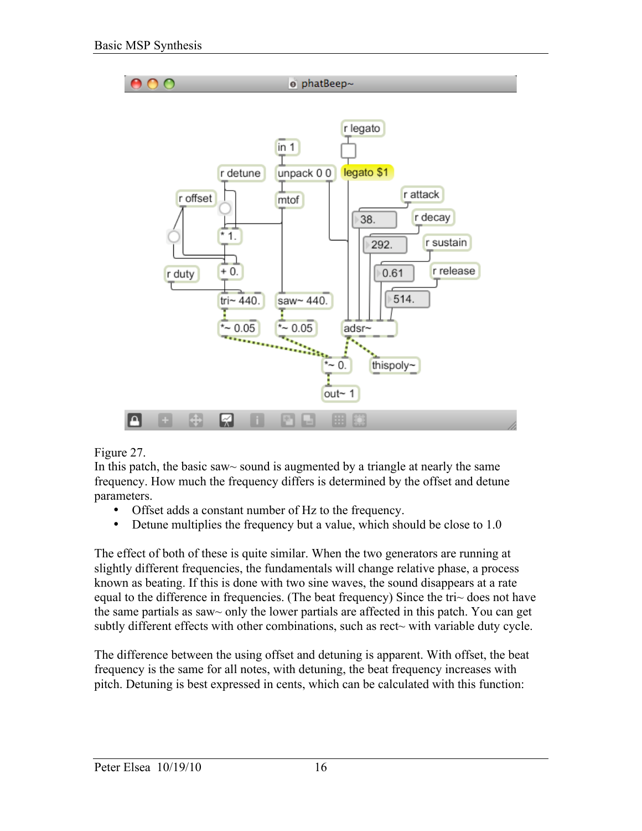

Figure 27.

In this patch, the basic saw~ sound is augmented by a triangle at nearly the same frequency. How much the frequency differs is determined by the offset and detune parameters.

- Offset adds a constant number of Hz to the frequency.
- Detune multiplies the frequency but a value, which should be close to 1.0

The effect of both of these is quite similar. When the two generators are running at slightly different frequencies, the fundamentals will change relative phase, a process known as beating. If this is done with two sine waves, the sound disappears at a rate equal to the difference in frequencies. (The beat frequency) Since the tri~ does not have the same partials as saw~ only the lower partials are affected in this patch. You can get subtly different effects with other combinations, such as rect~ with variable duty cycle.

The difference between the using offset and detuning is apparent. With offset, the beat frequency is the same for all notes, with detuning, the beat frequency increases with pitch. Detuning is best expressed in cents, which can be calculated with this function: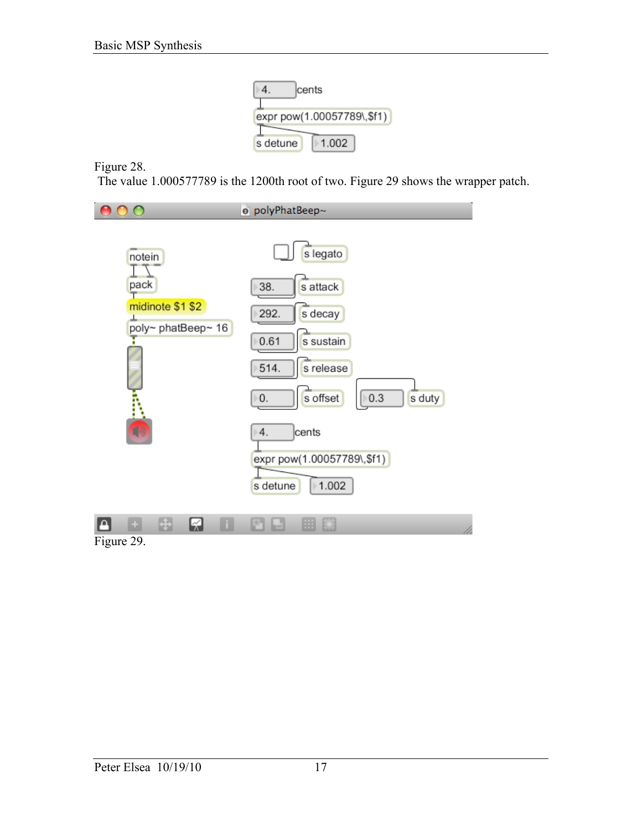

Figure 28.

The value 1.000577789 is the 1200th root of two. Figure 29 shows the wrapper patch.



Figure 29.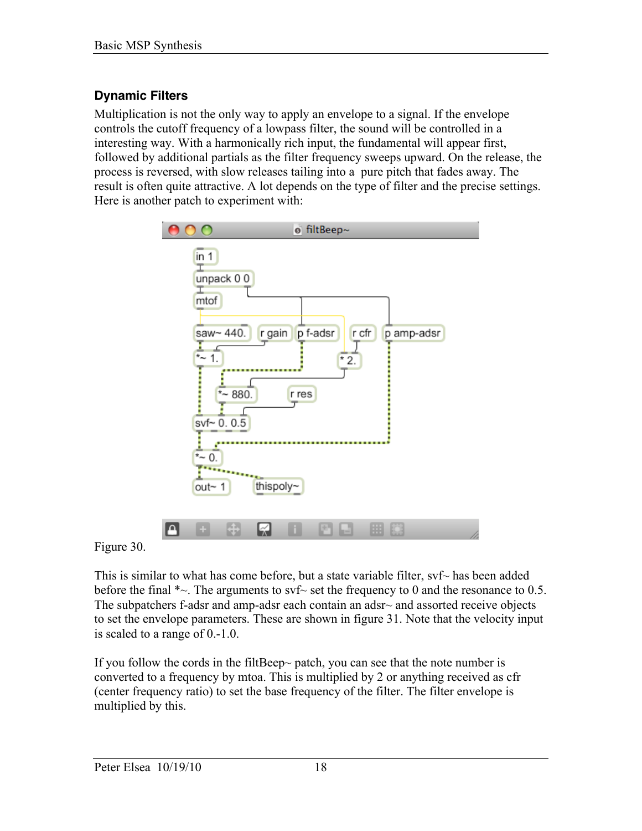# **Dynamic Filters**

Multiplication is not the only way to apply an envelope to a signal. If the envelope controls the cutoff frequency of a lowpass filter, the sound will be controlled in a interesting way. With a harmonically rich input, the fundamental will appear first, followed by additional partials as the filter frequency sweeps upward. On the release, the process is reversed, with slow releases tailing into a pure pitch that fades away. The result is often quite attractive. A lot depends on the type of filter and the precise settings. Here is another patch to experiment with:



Figure 30.

This is similar to what has come before, but a state variable filter,  $\text{svf}$  has been added before the final  $\sim$ . The arguments to svf $\sim$  set the frequency to 0 and the resonance to 0.5. The subpatchers f-adsr and amp-adsr each contain an adsr~ and assorted receive objects to set the envelope parameters. These are shown in figure 31. Note that the velocity input is scaled to a range of 0.-1.0.

If you follow the cords in the filtBeep~ patch, you can see that the note number is converted to a frequency by mtoa. This is multiplied by 2 or anything received as cfr (center frequency ratio) to set the base frequency of the filter. The filter envelope is multiplied by this.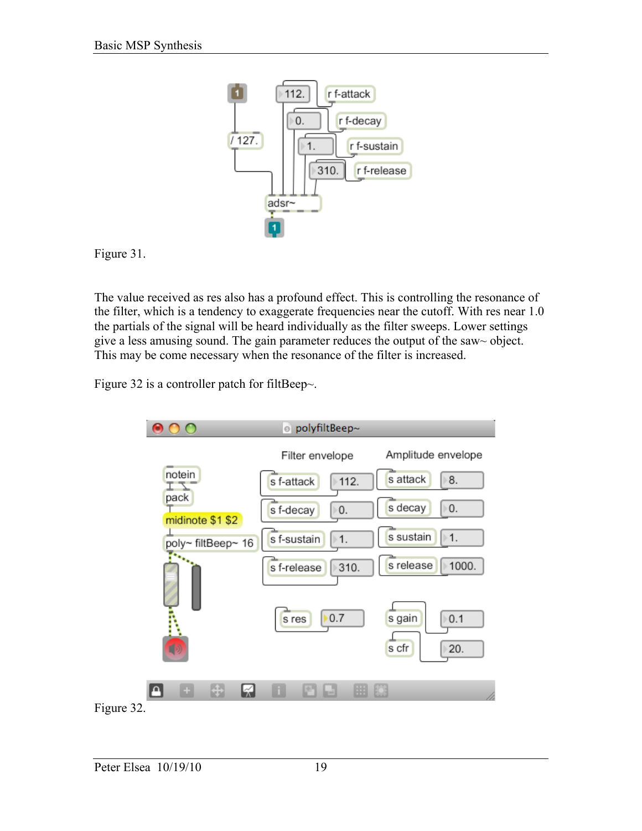

Figure 31.

The value received as res also has a profound effect. This is controlling the resonance of the filter, which is a tendency to exaggerate frequencies near the cutoff. With res near 1.0 the partials of the signal will be heard individually as the filter sweeps. Lower settings give a less amusing sound. The gain parameter reduces the output of the saw~ object. This may be come necessary when the resonance of the filter is increased.

Figure 32 is a controller patch for filtBeep $\sim$ .

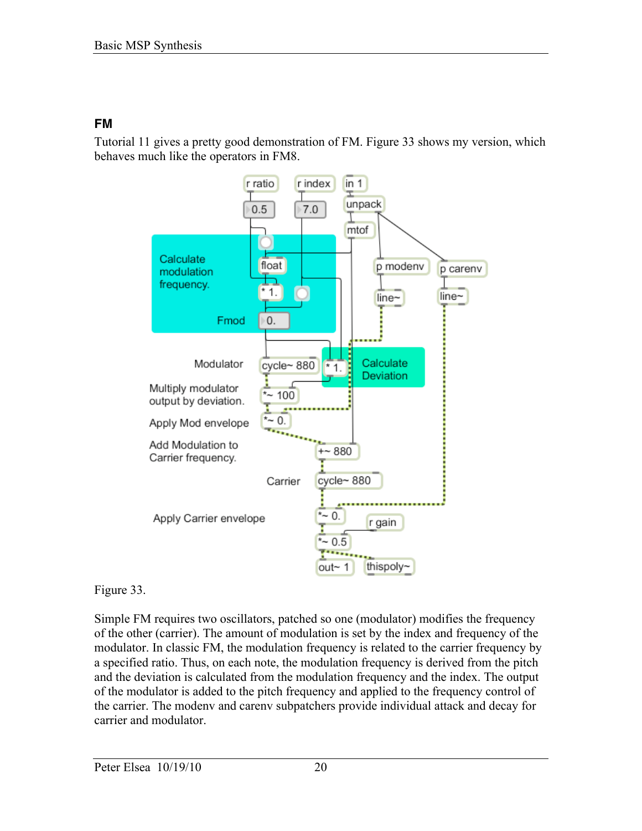### **FM**

Tutorial 11 gives a pretty good demonstration of FM. Figure 33 shows my version, which behaves much like the operators in FM8.



### Figure 33.

Simple FM requires two oscillators, patched so one (modulator) modifies the frequency of the other (carrier). The amount of modulation is set by the index and frequency of the modulator. In classic FM, the modulation frequency is related to the carrier frequency by a specified ratio. Thus, on each note, the modulation frequency is derived from the pitch and the deviation is calculated from the modulation frequency and the index. The output of the modulator is added to the pitch frequency and applied to the frequency control of the carrier. The modenv and carenv subpatchers provide individual attack and decay for carrier and modulator.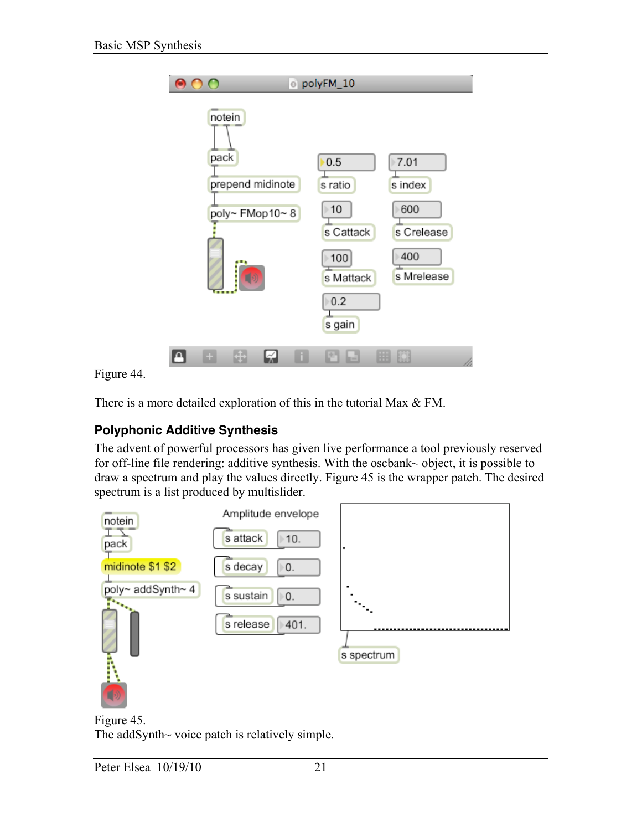

Figure 44.

There is a more detailed exploration of this in the tutorial Max & FM.

# **Polyphonic Additive Synthesis**

The advent of powerful processors has given live performance a tool previously reserved for off-line file rendering: additive synthesis. With the oscbank~ object, it is possible to draw a spectrum and play the values directly. Figure 45 is the wrapper patch. The desired spectrum is a list produced by multislider.



Figure 45. The addSynth~ voice patch is relatively simple.